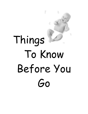# Things To Know Before You Go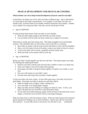## **MUSCLE DEVELOPMENT AND MUSCULAR CONTROL**

#### *What activities can I do to help normal development of muscle control in my baby?*

Listed below are things you can do with your baby at different ages. Age is determined by correcting for the weeks of prematurity. For example, if your baby was born two months early, activities listed at two months would be expected at four months. Another way to adjust is by using your baby's due date, not the actual date of birth.

## • Age 0-2 MONTHS

To help develop head control, hold your baby at your shoulder.

- Hold your baby high enough so that the baby can look around.
- Let your baby raise his head, but keep a hand near to support if necessary.

When baby is awake, give him tummy time. This helps strengthen neck and shoulder muscles. This should be done on a flat surface such as the floor or a mattress.

- Place baby on tummy with the arms forward and elbows in line with the shoulders.
- Place a toy 6-8 inches in front of the baby, or place your baby in front of a mirror.
- At first your baby will tire easily; gradually increase tummy time.
- Hold your baby on his tummy while on your lap.
- Age 1-4 MONTHS

Bring your baby's hands together near the face and chest. This helps prepare your baby for reaching and exploring his hands.

- Position your baby with the arms forward when cradled or when in an infant seat.
- Place your finger in each of his hands when playing.
- Encourage your baby to bring his hands together to explore a toy, bottle, or your face.
- Put a toy with texture on your baby's chest.
- Provide some side-lying with your baby's hands together.

At first your baby will close a hand. As this reflex goes away, your baby will reach to grab things. Encourage your baby to grasp toys and other objects.

- Hold out things such as fingers, rattles, teething toys.
- Give your baby a toy during diaper changes.
- Help your baby practice holding on to things one hand at a time. At first, your baby will drop toys even if he/she is still interested in them.
- If your baby has trouble letting go, gently stroke the back of the hand from wrist to fingers, or bend the wrist forward a little to encourage letting go.

Help your baby learn to roll from tummy to back. With your baby laying on his stomach, get his attention by holding a toy in front of him/her. Slowly move the toy toward the side and back. As your baby moves to see the toy, he will start to roll. (continued)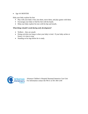## • Age 4-6 MONTHS

Help your baby explore his feet.

- Play with your baby's feet, kiss them, move them, and play games with them.
- Encourage your baby to find his feet with his hands.
- Help your baby explore his toes with his lips and mouth..

#### *What things should I avoid during early development?*

- Walkers they are unsafe
- Doing activities too long or when your baby is tired. If your baby arches or fusses, it is time to stop.
- Standing on his legs before he is ready.

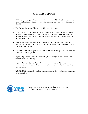# **YOUR BABY'S DIAPERS**

- Babies wet their diapers almost hourly. However, most of the time they are changed around feeding times, when they wake in the morning, and when you put them down at night.
- Your baby's diaper should be very wet 6-8 times in 24 hours.
- If the urine is dark and your baby has not wet his diaper 6-8 times a day, he may not be getting enough formula or breast milk. **CALL THE DOCTOR**. Babies become dehydrated (lose water and fluid) quickly. Babies who are sick do not eat well, and do not wet as often.
- Some babies have a bowel movement (BM) with every feeding; others may have a BM every day or two. Do not worry about the time between BMs unless the stool is like small, hard pebbles.
- It is normal for babies to grunt, strain, and turn red when having a BM. This does not mean that he is constipated!
- If your baby does not have a stool very often, but is eating well and does not seem uncomfortable, do not worry.
- If your baby is constipated, the stools will be like little rocks. If the problem continues for several days or if your baby cries for a long time when having a BM, call your doctor.
- **REMEMBER**, check with your baby's doctor before giving your baby any treatment for constipation.

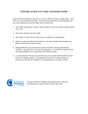# **VISITORS AFTER YOU TAKE YOUR BABY HOME**

Many friends and relatives will want to visit you when your baby is finally home. They will want to see and hold your baby. Your friends and relatives are well-meaning, but they may bombard you and your baby with too much help.

- Ask friends and relatives with any signs of illness or with any illness in their families not to visit.
- All visitors should wash their hands.
- Ask visitors to look, but not touch, wake, or handle your sleeping baby.
- Only the parents and immediate family (or very close friends) should handle your baby for the first few weeks at home.
- Being handled by a lot of people may upset your baby's feeding and sleeping schedule—especially after everyone has gone home. Your baby may become fussy after being handled a lot or passed between different people.
- Use the statement "The doctors said that only a few people should handle my baby for the first month at home". By using this statement, you will not look overprotective or feel like the "bad guy" for trying to protect your baby's health.

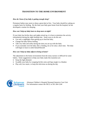# **TRANSITION TO THE HOME ENVIRONMENT**

#### *How do I know if my baby is getting enough sleep?*

Premature babies may seem to sleep a great deal at first. Your baby should be waking on a regular basis for feeding. By the time your baby goes home from the hospital, he has developed a routine for sleeping.

#### *How can I help my baby learn to sleep more at night?*

If your baby has his/her days and nights mixed up, it is best to minimize the activity (stimulation) during the night feeding time. Some ways to do this are:

- Use only a nightlight when getting up to feed the baby.
- Change the baby before feeding.
- Talk very little and softly during the time you are up with the baby.
- If you normally rock the baby after a feeding, do so for only a short time. The baby will begin to learn to settle himself/herself.

#### *How can I help my baby adjust to being at home?*

The adjustment to the home environment from the noisy nursery is difficult for some babies. Some suggestions to help your baby make this transition are:

- Keep the light dimmed.
- Swaddle your baby by wrapping his/her arms and legs snugly in a blanket.
- Play soft, low music, or keep the television on during the day.

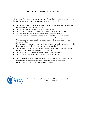# **SIGNS OF ILLNESS IN THE INFANT**

All babies get ill. This does not mean that you did something wrong! Be aware of signs that your baby is sick. Some signs that may indicate illness include:

- Your baby does not feed as well as normal. The baby may not seem hungry and may not take as much of the feeding as usual.
- Your baby vomits, with force, all or most of the feeding.
- Your baby has frequent, loose stools (more stools than usual, and watery).
- Your baby does not pass as much urine as usual (fewer wet diapers).
- Your baby cries more than usual or appears more irritable. The baby may not be calmed and comforted easily by your usual means. Your baby may refuse to sleep.
- Your baby does not seem as active as usual. He may sleep more or may be more difficult to waken.
- Your baby may have trouble breathing (breathes faster and harder, or may draw in the chest muscles with each breath, or may have noisy breathing).
- Your baby may have a fever. Contact the doctor if your baby's temperature is 100 degrees or higher, or if his temperature is less than 97 degrees.
- Your baby's skin color may appear pale, bluish, or marbled looking.
- Your baby's skin and the whites of his eyes may appear yellow.
- CALL THE DOCTOR IF your baby appears sick or starts to act differently to you. It is best to have your baby checked or to receive the advice of the doctor.
- HAVE EMERGENCY PHONE NUMBERS available.

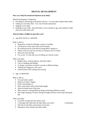## **MENTAL DEVELOPMENT**

## *How can I help the mental development of my baby?*

Mental development is helped by:

- Providing an interesting environment and toys. Let your baby explore them safely.
- Talking to your baby often. Use a lot of facial expressions
- Singing to your baby.
- Reading to your child. Start this habit at a few months of age, and continue it daily until your child reads well.

## *What do babies of different ages like to do?*

• Age DUE DATE to 1 MONTH

Baby is able to:

- Respond to sounds by blinking, crying, or startling
- Lift head for a short time when on his stomach
- Be comforted most of the time by being held or spoken to
- Follow with eyes and can see best at a distance of 8-12 inches
- Move his arms and legs
- Cry (a lot). It is the only way of telling you what he wants.

Offer your baby:

- Bright colors, contrast patterns, and shiny object
- Lots of cuddling and holding
- A change of position so that he can look at different things
- Talking and singing in a soft voice
- Gentle motion, like rocking and swaying
- Age 2-3 MONTHS

Baby is able to:

- Coo and make sounds
- Hold on to others' fingers
- Smile when spoken to
- Show some head control when held upright
- Open his hands most of the time
- Show interest in seeing different things and hearing different sounds
- May begin sleeping 5-6 hours during the night and take several naps during the day

Offer your baby:

- A pacifier to help meet the need to suck
- A massage after bath time; the baby likes your touch (continued)
	-

- The feel of soft fabric and textures on his skin
- Repetition of the sounds your baby makes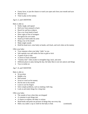- Funny faces, or just the chance to watch you open and close your mouth and eyes
- Musical toys
- Time to play on his tummy

## Age 4, 5, and 6 MONTHS

Baby is able to:

- Smile, laugh, and squeal
- Roll over from stomach to back
- Reach for and bat at objects
- Pass a toy from hand to hand
- Show signs of fear of strangers
- Recognize his own name
- Stand up if held under his arms
- Bring a toy to his mouth
- Make single sounds
- Hold his head erect, raise body on hands, arch back, and rock when on his tummy

Offer your baby:

- Your response when your baby "talks" to you
- Safe squeaky toys and rattles for him to grab or kick
- A game of pat-a-cake
- A mirror to look at himself
- "Tummy time" when awake to strengthen legs, back, and arms
- Different places to play during the day; the baby likes to see new places and things
- Toys to tee the on

## Age 7, 8, and 9 MONTHS

Baby is able to:

- Sit up alone
- Babble a lot
- Roll around
- Scoot or crawl on his tummy
- Put his toes in his mouth
- Learn to use his fingers
- Solve simple problems, such as making a bell ring
- Look at and study things for a long time

Offer your baby:

- The sounds of toys when they are dropped
- A container to put things into
- A chance to explore; the baby is curious
- Read books and point out pictures of things they see every day
- Hide a toy under a cup or cloth for the baby to find. (continued)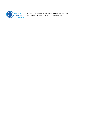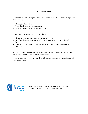## **DIAPER RASH**

Urine and stool will irritate your baby's skin if it stays on the skin. You can help prevent diaper rash if you:

- Change the diaper often
- Wash the diaper area with clean water
- Wash and pat dry the area between skin folds

If your baby gets a diaper rash, you can help by:

- Changing the diaper more often to keep the baby drier
- Avoiding plastic pants and disposable diapers with plastic liners until the rash is better
- Leaving the diaper off after each diaper change for 15-30 minutes to let the baby's bottom air dry

Your baby's doctor may suggest a special ointment or cream. Apply a thin coat to the diaper area. This may give the rash a chance to heal.

If the rash does not go away in a few days, if it spreads, becomes very red or bumpy, call your baby's doctor.

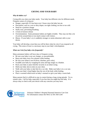# **CRYING AND YOUR BABY**

#### *Why do babies cry?*

Crying tells you what your baby needs. Your baby has different cries for different needs. Frequent causes of crying are:

- Hunger, especially if it has been over 2 hours since the baby last ate.
- Discomfort, such as a wet or dirty diaper, too tight clothing, too hot or too cold.
- Need for a position change
- Stuffy nose, preventing breathing
- A form of tension release
- Overstimulation: Some premature babies are highly irritable. They may not like a lot of activity around them or too much contact with visitors.
- Illness: If your baby's cry is suddenly stronger or seems abnormal, talk to your doctor.

Your baby will develop a trust that you will be there when he cries if you respond to all crying. This sense of trust is a necessary step in your baby's development.

## *What can I do if my baby cries frequently?*

Many premature babies will have days of frequent crying.

- Be sure your baby is not wet, hungry, or uncomfortable.
- Burp your baby every five minutes while feeding.
- Be sure your infant is not ill (fever, diarrhea, poor color).
- Swaddle your baby by wrapping his arms and legs snugly in a blanket.
- Rock your baby or place him/her securely in an infant swing.
- Hold your baby skin-to-skin on your chest.
- Walk with your baby or take him for a car ride. Make sure baby is in a car seat.
- Keep your baby's head higher than the rest of the body while feeding.
- Place a warmed rolled towel on baby's stomach or give your baby a warm bath.

Many parents find it is difficult to stay in control during a long crying episode. Try to remain calm. Call for help, especially if you fear that you might hurt the baby. It is always okay to check with your doctor with any concerns you may have.

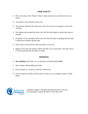## **CRIB SAFETY**

- Place your baby on his "Back to Sleep" unless instructed to do otherwise by your doctor.
- Avoid thick, heavy blankets in the crib.
- The mattress should be the same size as the crib so there are no gaps to catch arms and legs.
- Use bumper pads around the entire crib until the baby begins to stand; then remove the pads.
- No pillows or toys should be left in the crib while the baby is sleeping until the baby is older than 6 months adjusted age.
- Never leave crib rails down when the baby is in the crib.
- Begin to lower the crib mattress before the baby can sit unassisted. Have the crib at it's lowest point before the baby can stand.

## **SMOKING**

- **Not smoking** in the house, car, or anywhere around the baby **is best.**
- Never smoke while holding your baby.
- Do not smoke in a closed car with the windows up.
- Do not expose your baby to other types of fumes, such as fireplace smoke or paint fumes.

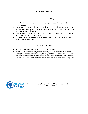# **CIRCUMCISION**

## Care of the Circumcised Boy

- Rinse the circumcision area at each diaper change by squeezing warm water over the tip of the penis.
- You may use petroleum jelly on the tip of the penis with each diaper change for 24- 48 hours after circumcision. This is not necessary, but may prevent the circumcision site from sticking to the diaper.
- There should be no bleeding. The head of the penis may show signs of irritation and appear whitish or yellowish as it heals.
- Call the doctor if the penis becomes red or swollen or if your baby does not pass urine for longer than 8 hours.

## Care of the Uncircumcised Boy

- Wash and rinse your baby's genitals (private parts) daily.
- Do not pull back the foreskin (the skin covering the tip of the penis) in an infant. Forcing the skin back may cause pain, bleeding, and possibly scar tissue. The natural separation of the foreskin from the tip of the penis may take several years. When the boy is older, he can learn to pull back the foreskin and clean under it on a daily basis.

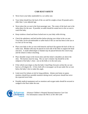# **CAR SEAT SAFETY**

- Never leave your baby unattended in a car safety seat.
- Your infant should face the back of the car until he weighs at least 20 pounds and is older than 1 year adjusted age.
- Never place the car seat in the front passenger seat. The center of the back seat is the safest place for the seat. If possible, an adult should be seated next to the car seat to watch the baby.
- Keep windows closed and doors locked next to your baby while driving.
- Check the upholstery and belt buckles before placing your infant in the car seat. Your baby can be uncomfortable or suffer burns if the car seat has been in the sun or in a hot car for too long.
- Place your baby in the car seat with buttocks and back flat against the back of the car safety seat. Blanket rolls may be placed on each side of the baby to support the head and neck. A small rolled diaper or blanket may be placed between the crotch strap and the infant to reduce slouching.
- Place shoulder straps in the lowest slots until the infant's shoulders are above the slots. The harness must be snug. The car seat's retainer clip should be at the midpoint of the baby's chest—not on the belly or in the neck area.
- If the vehicle seat slopes so that the baby's head flops forward, recline the car seat back at a 45-degree tilt. A firm cloth roll or newspaper can be put under the car seat below the baby's feet to make this angle.
- Limit travel for infants at risk for lung problems. Infants sent home on apnea monitors should have portable monitors during travel, and power should last twice the expected travel time.
- Portable medical equipment such as monitors and oxygen tanks should be secured or wedged in the floor under the seat.

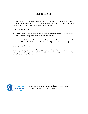## **BULB SYRINGE**

A bulb syringe is used to clean your baby's nose and mouth of formula or mucus. You may use it when your baby spits up, has a stuffy nose, or sneezes. We suggest you keep a bulb syringe close to your baby, especially during feedings.

Using the bulb syringe:

- Squeeze the bulb until it is collapsed. Place it in one nostril and quickly release the bulb. This will bring the formula or mucus into the bulb.
- Remove the bulb syringe from the nose and squeeze the bulb quickly into a tissue to get rid of this material. Repeat for the other nostril (and mouth, if necessary)

Cleaning the bulb syringe:

Clean the bulb syringe daily with hot soapy water and rinse in hot water. Clean the inside of the bulb by squeezing the bulb while the tip is in the soapy water. Repeat the procedure with clean hot water.

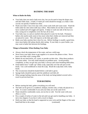# **BATHING THE BABY**

#### **When to Bathe the Baby**

- Your baby does not need a bath every day, but you do need to keep the diaper area and skin folds clean. A bath 2-3 times per week should be enough, as a baby's skin can dry out quickly if bathed too often.
- Wash your baby's face every day with a clean wash cloth and warm water. Wash the folds under his chin where milk may collect. Most babies do not like to have their faces washed and will wiggle and squirm. It helps to wash one side of the face at a time, trying not to completely cover the face all at once.
- Your baby may cry and act startled when placed in water for his bath. Premature babies who startle easily seem to fuss more when their clothes are removed and they are placed in water. This will improve as the baby gets older.
- Bathe your baby anytime that is best for you. Before feedings is usually a good time, since most babies fall asleep shortly after eating. If your baby is a poor feeder, you may want to bathe him between his feedings.

## **Things to Remember When Bathing Your Baby**

- Always check the temperature of the water, and use a mild soap.
- Never leave your baby alone to get supplies or to answer the phone or door. Never leave your baby with a young child.
- Babies do not need lotion, oil, cream, or powder on their skin. Often these products can cause rashes. Use only small amounts on problem areas. Avoid powders completely, as they can get into your baby's airways and cause breathing difficulties.
- Some babies have "cradle cap" (flaky scalp, especially over the soft spot on the head). Use a soft toothbrush to clean the scalp. Brush the scalp daily with a baby brush.
- The circumcision should be healed before a tub bath is given.
- Sponge baths should be given until the umbilical cord falls off.
- When sponge bathing, keep the areas of the body not being bathed covered with a towel to prevent heat loss.

## **TUB BATHING**

- Before starting the bath, gather everything you will need.
- The bath can be given in a washbowl, dishpan, kitchen sink, or baby tub placed on a table. It is more comfortable if you and your baby are on the same level.
- Water should be comfortably warm, not too hot or cold. Test the water with your elbow or wrist.
- Put a couple of inches of water in the tub until you get used to handling your baby. A tub is less slippery if you line it with a towel or diaper.
- Hold your baby so that his head is supported on your wrist and the fingers of the same hand hold him in the armpit. (continued)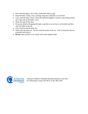- First wash the baby's face with a washcloth without soap.
- Soap the baby's body, arms, and legs using the washcloth or your hand.
- Last, wash the baby's head. Rinse the head thoroughly to remove soap, being careful not to get soap in the baby's eyes.
- Rinse all soap off the skin.
- If you are afraid of dropping the baby, soap him on your lap or on the table and then rinse the baby in the tub.
- Use a towel to pat the baby dry.
- Wash only the outer ear. Do not wash the inside of the ear. Wax is formed in the ear to protect and clean it.
- **Do not** clean nostrils or ear canals with cotton tipped swabs.

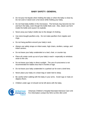# **BABY SAFETY: GENERAL**

- Do not pour hot liquids when holding the baby or when the baby is close by. Do not cook or stand over a hot stove while holding your baby.
- Do not heat baby bottles in the microwave. The formula may become too hot and burn the baby, even though the bottle feels cool. Also, steam can form inside the bottle and cause it to explode.
- Never prop your baby's bottle due to the danger of choking.
- Use store-bought pacifiers only. Do not make pacifiers from nipples and rings.
- Do not hang pacifiers around your baby's neck.
- Always use safety straps on infant seats, high chairs, strollers, swings, and infant carriers.
- Do not leave your baby unattended on a bed, chair, or counter top.
- Place all curtain cords up out of your baby's reach—especially on windows close to the crib.
- Do not leave your baby in direct sunlight. The use of sunscreens is not recommended for babies less than 6 months of age.
- Do not leave your baby unattended in a parked car for even a brief time.
- Never place your baby on a bean bag or water bed to sleep.
- Be careful when walking with the baby in your arms. Avoid rugs or mats on slippery floors.
- Children under age 13 should not be left alone with the baby.